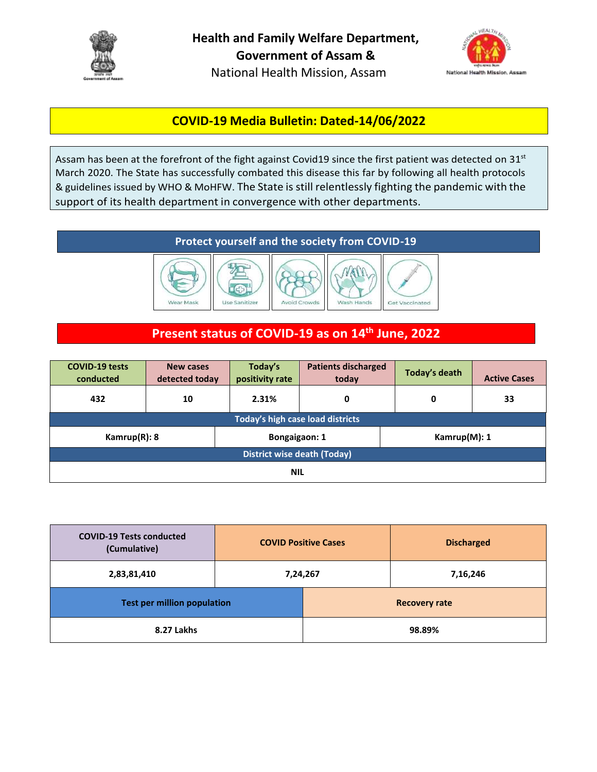

**Health and Family Welfare Department, Government of Assam &**

National Health Mission, Assam



## **COVID-19 Media Bulletin: Dated-14/06/2022**

Assam has been at the forefront of the fight against Covid19 since the first patient was detected on 31<sup>st</sup> March 2020. The State has successfully combated this disease this far by following all health protocols & guidelines issued by WHO & MoHFW. The State is still relentlessly fighting the pandemic with the support of its health department in convergence with other departments.

## **Protect yourself and the society from COVID-19**



## **Present status of COVID-19 as on 14 th June, 2022**

| <b>COVID-19 tests</b><br>conducted | <b>New cases</b><br>detected today | Today's<br>positivity rate | <b>Patients discharged</b><br>today | <b>Today's death</b> | <b>Active Cases</b> |  |  |  |
|------------------------------------|------------------------------------|----------------------------|-------------------------------------|----------------------|---------------------|--|--|--|
| 432                                | 10                                 | 2.31%                      | 0                                   | 0                    | 33                  |  |  |  |
| Today's high case load districts   |                                    |                            |                                     |                      |                     |  |  |  |
| Kamrup $(R)$ : 8                   |                                    | Bongaigaon: 1              |                                     | Kamrup(M): 1         |                     |  |  |  |
| District wise death (Today)        |                                    |                            |                                     |                      |                     |  |  |  |
| <b>NIL</b>                         |                                    |                            |                                     |                      |                     |  |  |  |

| <b>COVID-19 Tests conducted</b><br>(Cumulative) | <b>COVID Positive Cases</b> |                      | <b>Discharged</b> |  |
|-------------------------------------------------|-----------------------------|----------------------|-------------------|--|
| 2,83,81,410                                     | 7,24,267                    |                      | 7,16,246          |  |
| <b>Test per million population</b>              |                             | <b>Recovery rate</b> |                   |  |
| 8.27 Lakhs                                      |                             | 98.89%               |                   |  |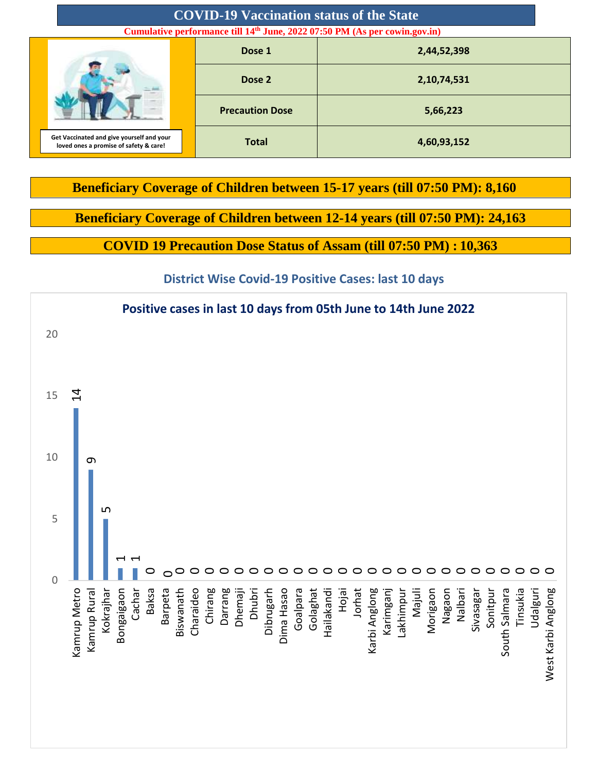| <b>COVID-19 Vaccination status of the State</b><br>Cumulative performance till 14 <sup>th</sup> June, 2022 07:50 PM (As per cowin.gov.in) |                        |             |  |  |  |  |  |
|-------------------------------------------------------------------------------------------------------------------------------------------|------------------------|-------------|--|--|--|--|--|
|                                                                                                                                           |                        |             |  |  |  |  |  |
|                                                                                                                                           | Dose 1                 | 2,44,52,398 |  |  |  |  |  |
|                                                                                                                                           | Dose 2                 | 2,10,74,531 |  |  |  |  |  |
|                                                                                                                                           | <b>Precaution Dose</b> | 5,66,223    |  |  |  |  |  |
| Get Vaccinated and give yourself and your<br>loved ones a promise of safety & care!                                                       | <b>Total</b>           | 4,60,93,152 |  |  |  |  |  |

**Beneficiary Coverage of Children between 15-17 years (till 07:50 PM): 8,160**

**Beneficiary Coverage of Children between 12-14 years (till 07:50 PM): 24,163**

**COVID 19 Precaution Dose Status of Assam (till 07:50 PM) : 10,363**

## **District Wise Covid-19 Positive Cases: last 10 days**